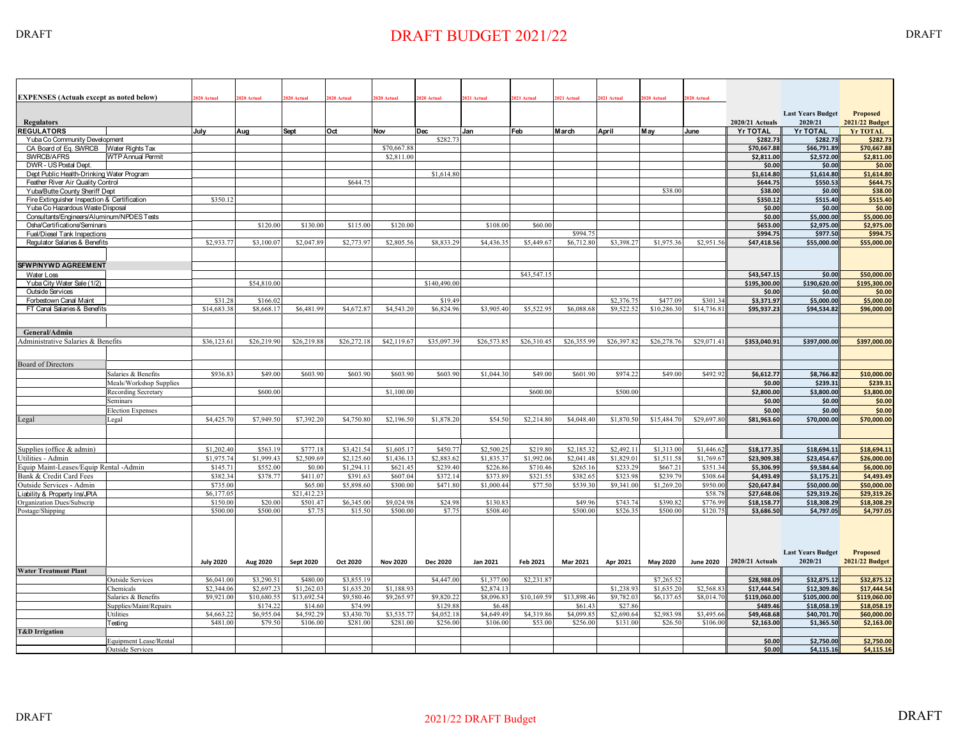## DRAFT DRAFT BUDGET 2021/22 DRAFT BUDGET 2021/22

| <b>EXPENSES</b> (Actuals except as noted below)                                | 2020 Actual      | 2020 Actual | 1020 Actual      | 2020 Actual | 2020 Actual     | 020 Actual   | 2021 Actual | 2021 Actual | 2021 Actual            | <b>2021 Actual</b> | 2020 Actual | 2020 Actual      |                                    |                                     |                                          |
|--------------------------------------------------------------------------------|------------------|-------------|------------------|-------------|-----------------|--------------|-------------|-------------|------------------------|--------------------|-------------|------------------|------------------------------------|-------------------------------------|------------------------------------------|
|                                                                                |                  |             |                  |             |                 |              |             |             |                        |                    |             |                  |                                    | <b>Last Years Budget</b>            | <b>Proposed</b>                          |
| <b>Regulators</b><br><b>REGULATORS</b>                                         | July             |             |                  | Oct         |                 | Dec          | Jan         | Feb         | March                  |                    |             |                  | 2020/21 Actuals<br><b>Yr TOTAL</b> | 2020/21<br><b>Yr TOTAL</b>          | <b>2021/22 Budget</b><br><b>Yr TOTAL</b> |
| Yuba Co Community Development                                                  |                  | Aug         | <b>Sept</b>      |             | Nov             | \$282.7      |             |             |                        | April              | M ay        | June             | \$282.73                           | \$282.73                            | \$282.7                                  |
| CA Board of Eq. SWRCB Water Rights Tax                                         |                  |             |                  |             | \$70,667.88     |              |             |             |                        |                    |             |                  | \$70,667.88                        | \$66,791.89                         | \$70,667.88                              |
| SWRCB/AFRS<br><b>WTP Annual Permit</b>                                         |                  |             |                  |             | \$2,811.00      |              |             |             |                        |                    |             |                  | \$2.811.00                         | \$2.572.00                          | \$2,811.00                               |
| DWR - US Postal Dept.                                                          |                  |             |                  |             |                 |              |             |             |                        |                    |             |                  | \$0.00                             | \$0.00                              | \$0.00                                   |
| Dept Public Health-Drinking Water Program                                      |                  |             |                  |             |                 | \$1,614.80   |             |             |                        |                    |             |                  | \$1,614.80                         | \$1,614.80                          | \$1,614.80                               |
| Feather River Air Quality Control                                              |                  |             |                  | \$644.7     |                 |              |             |             |                        |                    |             |                  | \$644.75                           | \$550.53                            | \$644.75                                 |
| Yuba/Butte County Sheriff Dept                                                 |                  |             |                  |             |                 |              |             |             |                        |                    | \$38.00     |                  | \$38.00                            | \$0.00                              | \$38.00                                  |
| Fire Extinguisher Inspection & Certification                                   | \$350.12         |             |                  |             |                 |              |             |             |                        |                    |             |                  | \$350.12<br>\$0.00                 | \$515.40<br>\$0.00                  | \$515.40<br>\$0.00                       |
| Yuba Co Hazardous Waste Disposal<br>Consultants/Engineers/Aluminum/NPDES Tests |                  |             |                  |             |                 |              |             |             |                        |                    |             |                  | \$0.00                             | \$5.000.00                          | \$5.000.00                               |
| Osha/Certifications/Seminars                                                   |                  | \$120.00    | \$130.00         | \$115.00    | \$120.00        |              | \$108.00    | \$60.00     |                        |                    |             |                  | \$653.00                           | \$2,975.00                          | \$2,975.00                               |
| Fuel/Diesel Tank Inspections                                                   |                  |             |                  |             |                 |              |             |             | \$994.7                |                    |             |                  | \$994.75                           | \$977.50                            | \$994.75                                 |
| Regulator Salaries & Benefits                                                  | \$2,933.7        | \$3,100.0   | \$2,047.89       | \$2,773.9   | \$2,805.56      | \$8,833.2    | \$4,436.3   | \$5,449.67  | \$6,712.8              | \$3,398.27         | \$1,975.36  | \$2,951.5        | \$47,418.56                        | \$55,000.00                         | \$55,000.00                              |
|                                                                                |                  |             |                  |             |                 |              |             |             |                        |                    |             |                  |                                    |                                     |                                          |
|                                                                                |                  |             |                  |             |                 |              |             |             |                        |                    |             |                  |                                    |                                     |                                          |
| <b>SFWP/NYWD AGREEMENT</b>                                                     |                  |             |                  |             |                 |              |             |             |                        |                    |             |                  |                                    |                                     |                                          |
| Water Loss<br>Yuba City Water Sale (1/2)                                       |                  | \$54,810.00 |                  |             |                 | \$140,490.00 |             | \$43,547.1  |                        |                    |             |                  | \$43.547.15<br>\$195,300.00        | \$0.00<br>\$190,620.00              | \$50,000.00<br>\$195,300.00              |
| Outside Services                                                               |                  |             |                  |             |                 |              |             |             |                        |                    |             |                  | \$0.00                             | \$0.00                              | \$0.00                                   |
| Forbestown Canal Maint                                                         | \$31.2           | \$166.0     |                  |             |                 | \$19.49      |             |             |                        | \$2,376.7          | \$477.09    | \$301.34         | \$3.371.97                         | \$5,000.00                          | \$5,000.00                               |
| FT Canal Salaries & Benefits                                                   | \$14,683.38      | \$8,668.1   | \$6,481.99       | \$4,672.8   | \$4,543.20      | \$6,824.96   | \$3,905.4   | \$5,522.9   | \$6,088.6              | \$9,522.52         | \$10,286.30 | \$14,736.8       | \$95,937.23                        | \$94,534.82                         | \$96,000.00                              |
|                                                                                |                  |             |                  |             |                 |              |             |             |                        |                    |             |                  |                                    |                                     |                                          |
| General/Admin                                                                  |                  |             |                  |             |                 |              |             |             |                        |                    |             |                  |                                    |                                     |                                          |
| Administrative Salaries & Benefits                                             | \$36,123.61      | \$26,219.90 | \$26,219.88      | \$26,272.18 | \$42,119.67     | \$35,097.39  | \$26,573.85 | \$26,310.45 | \$26,355.99            | \$26,397.82        | \$26,278.76 | \$29,071.41      | \$353,040.91                       | \$397,000.00                        | \$397,000.00                             |
|                                                                                |                  |             |                  |             |                 |              |             |             |                        |                    |             |                  |                                    |                                     |                                          |
|                                                                                |                  |             |                  |             |                 |              |             |             |                        |                    |             |                  |                                    |                                     |                                          |
| <b>Board of Directors</b>                                                      | \$936.8          | \$49.00     | \$603.90         | \$603.9     | \$603.90        | \$603.90     | \$1,044.3   | \$49.00     | \$601.9                | \$974.22           | \$49.00     | \$492.9          |                                    |                                     |                                          |
| Salaries & Benefits                                                            |                  |             |                  |             |                 |              |             |             |                        |                    |             |                  | \$6,612.77                         | \$8,766.82                          | \$10,000.00                              |
| Meals/Workshop Supplies                                                        |                  | \$600.00    |                  |             |                 |              |             |             |                        | \$500.00           |             |                  | \$0.00                             | \$239.31                            | \$239.31                                 |
| <b>Recording Secretary</b><br>Seminars                                         |                  |             |                  |             | \$1,100.00      |              |             | \$600.00    |                        |                    |             |                  | \$2,800.00<br>\$0.00               | \$3,800.00<br>\$0.00                | \$3,800.00<br>\$0.00                     |
| <b>Election Expenses</b>                                                       |                  |             |                  |             |                 |              |             |             |                        |                    |             |                  | \$0.00                             | \$0.00                              | \$0.00                                   |
| Legal                                                                          | \$4,425.70       | \$7,949.50  | \$7,392.20       | \$4,750.80  | \$2,196.5       | \$1,878.20   | \$54.50     | \$2,214.80  | \$4,048.40             | \$1,870.50         | \$15,484.70 | \$29,697.80      | \$81.963.60                        | \$70,000.00                         | \$70,000.00                              |
| Legal                                                                          |                  |             |                  |             |                 |              |             |             |                        |                    |             |                  |                                    |                                     |                                          |
|                                                                                |                  |             |                  |             |                 |              |             |             |                        |                    |             |                  |                                    |                                     |                                          |
| Supplies (office & admin)                                                      | \$1,202.40       | \$563.19    | \$777.18         | \$3,421.54  | \$1,605.17      | \$450.77     | \$2,500.25  | \$219.80    | $$2,185.\overline{32}$ | \$2,492.11         | \$1,313.00  | \$1,446.62       | \$18,177.35                        | \$18,694.11                         | \$18,694.11                              |
| Utilities - Admin                                                              | \$1,975.74       | \$1,999.43  | \$2.509.69       | \$2.125.60  | \$1,436.13      | \$2,883.62   | \$1,835.37  | \$1,992.06  | \$2.041.48             | \$1.829.01         | \$1,511.58  | \$1,769.6        | \$23,909.38                        | \$23,454.67                         | \$26,000.00                              |
| Equip Maint-Leases/Equip Rental -Admin                                         | \$145.7          | \$552.00    | \$0.00           | \$1,294.1   | \$621.45        | \$239.40     | \$226.86    | \$710.46    | \$265.16               | \$233.29           | \$667.2     | \$351.3          | \$5,306.99                         | \$9,584.64                          | \$6,000.00                               |
| Bank & Credit Card Fees                                                        | \$382.34         | \$378.77    | \$411.07         | \$391.63    | \$607.04        | \$372.14     | \$373.89    | \$321.55    | \$382.65               | \$323.98           | \$239.79    | \$308.64         | \$4,493.49                         | \$3,175.21                          | \$4,493.49                               |
| Outside Services - Admin                                                       | \$735.00         |             | \$65.00          | \$5,898.60  | \$300.00        | \$471.80     | \$1,000.44  | \$77.50     | \$539.30               | \$9,341.00         | \$1,269.20  | \$950.00         | \$20,647.84                        | \$50,000.00                         | \$50,000.00                              |
| iability & Property Ins/JPIA                                                   | \$6,177.0        |             | \$21,412.23      |             |                 |              |             |             |                        |                    |             | \$58.7           | \$27,648.06                        | \$29,319.26                         | \$29,319.26                              |
| Organization Dues/Subscrip                                                     | \$150.00         | \$20.00     | \$501.47         | \$6,345.00  | \$9,024.98      | \$24.98      | \$130.83    |             | \$49.96                | \$743.74           | \$390.82    | \$776.9          | \$18.158.77                        | \$18.308.29                         | \$18,308.29                              |
| Postage/Shipping                                                               | \$500.00         | \$500.00    | \$7.75           | \$15.50     | \$500.00        | \$7.75       | \$508.40    |             | \$500.00               | \$526.35           | \$500.00    | \$120.7          | \$3,686.50                         | \$4,797.05                          | \$4,797.05                               |
|                                                                                | <b>July 2020</b> | Aug 2020    | <b>Sept 2020</b> | Oct 2020    | <b>Nov 2020</b> | Dec 2020     | Jan 2021    | Feb 2021    | Mar 2021               | Apr 2021           | May 2020    | <b>June 2020</b> | 2020/21 Actuals                    | <b>Last Years Budget</b><br>2020/21 | <b>Proposed</b><br>2021/22 Budget        |
| <b>Water Treatment Plant</b>                                                   |                  |             |                  |             |                 |              |             |             |                        |                    |             |                  |                                    |                                     |                                          |
| <b>Outside Services</b>                                                        | \$6,041.00       | \$3,290.51  | \$480.00         | \$3,855.19  |                 | \$4,447.00   | \$1,377.00  | \$2,231.87  |                        |                    | \$7,265.52  |                  | \$28,988.09                        | \$32,875.12                         | \$32,875.12                              |
| Chemicals                                                                      | \$2,344.06       | \$2,697.2   | \$1,262.03       | \$1,635.20  | \$1,188.93      |              | \$2,874.13  |             |                        | \$1,238.93         | \$1,635.20  | \$2,568.83       | \$17,444.54                        | \$12,309.86                         | \$17,444.54                              |
| Salaries & Benefits                                                            | \$9,921.00       | \$10,680.55 | \$13,692.54      | \$9,580.46  | \$9,265.97      | \$9,820.22   | \$8,096.83  | \$10,169.59 | \$13,898.46            | \$9,782.03         | \$6,137.65  | \$8,014.7        | \$119.060.00                       | \$105.000.00                        | \$119.060.00                             |
| Supplies/Maint/Repairs                                                         |                  | \$174.2     | \$14.60          | \$74.9      |                 | \$129.88     | \$6.4\$     |             | \$61.43                | \$27.86            |             |                  | \$489.46                           | \$18,058.19                         | \$18,058.19                              |
| Utilities                                                                      | \$4,663.22       | \$6,955.04  | \$4.592.29       | \$3,430.7   | \$3,535.7       | \$4,052.18   | \$4,649.49  | \$4,319.8   | \$4,099.8              | \$2.690.64         | \$2,983.98  | \$3,495.6        | \$49.468.68                        | \$40.701.70                         | \$60,000.00                              |
| Testing                                                                        | \$481.00         | \$79.50     | \$106.00         | \$281.00    | \$281.00        | \$256.00     | \$106.00    | \$53.00     | \$256.00               | \$131.00           | \$26.50     | \$106.00         | \$2,163.00                         | \$1,365.50                          | \$2,163.00                               |
| <b>T&amp;D</b> Irrigation                                                      |                  |             |                  |             |                 |              |             |             |                        |                    |             |                  | \$0.00                             | \$2,750.00                          | \$2,750.00                               |
| Equipment Lease/Rental<br><b>Outside Services</b>                              |                  |             |                  |             |                 |              |             |             |                        |                    |             |                  | \$0.00                             | \$4,115.16                          | \$4,115.16                               |
|                                                                                |                  |             |                  |             |                 |              |             |             |                        |                    |             |                  |                                    |                                     |                                          |